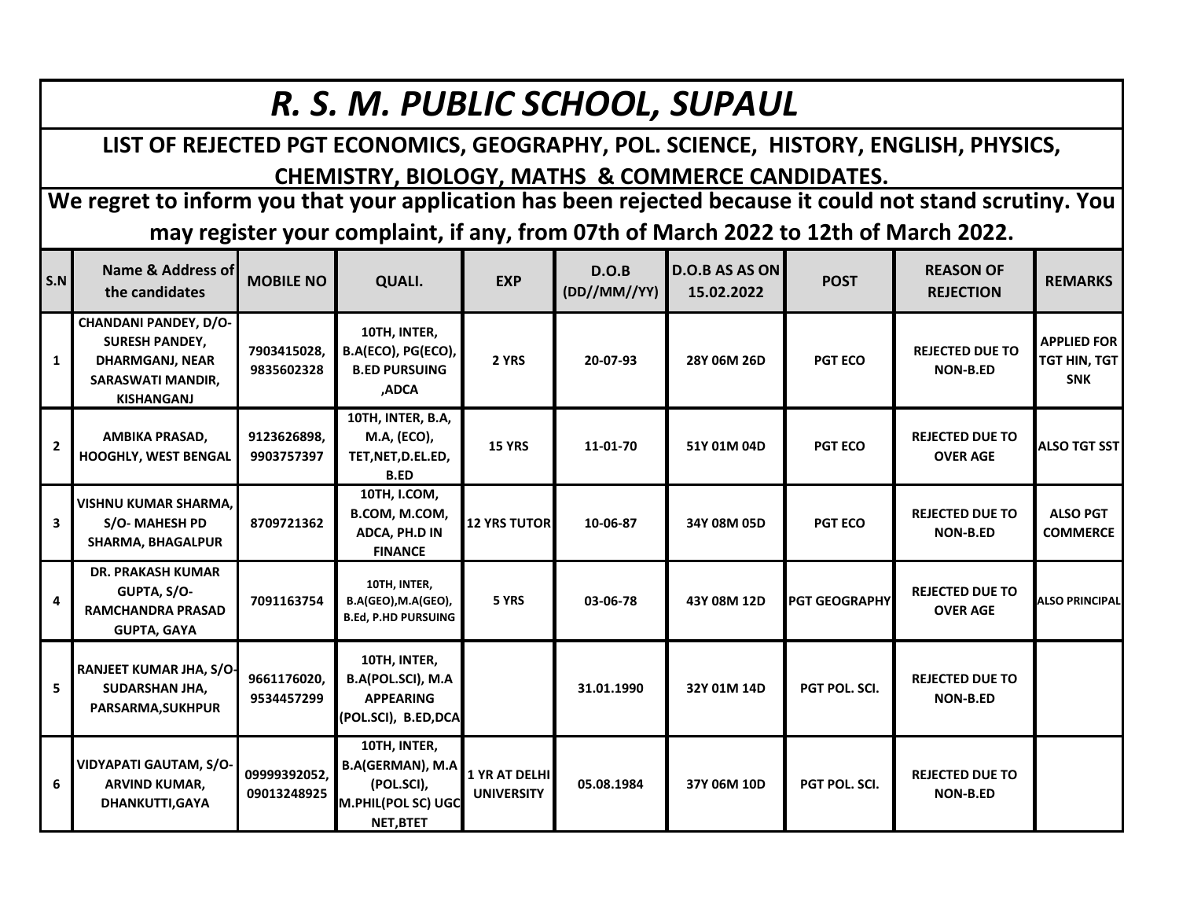## *R. S. M. PUBLIC SCHOOL, SUPAUL*

**LIST OF REJECTED PGT ECONOMICS, GEOGRAPHY, POL. SCIENCE, HISTORY, ENGLISH, PHYSICS, CHEMISTRY, BIOLOGY, MATHS & COMMERCE CANDIDATES.**

**We regret to inform you that your application has been rejected because it could not stand scrutiny. You may register your complaint, if any, from 07th of March 2022 to 12th of March 2022.**

| S.N            | Name & Address of<br>the candidates                                                                                       | <b>MOBILE NO</b>            | <b>QUALI.</b>                                                                            | <b>EXP</b>                         | D.O.B<br>(DD//MM//YY) | <b>D.O.B AS AS ON</b><br>15.02.2022 | <b>POST</b>          | <b>REASON OF</b><br><b>REJECTION</b>      | <b>REMARKS</b>                                   |
|----------------|---------------------------------------------------------------------------------------------------------------------------|-----------------------------|------------------------------------------------------------------------------------------|------------------------------------|-----------------------|-------------------------------------|----------------------|-------------------------------------------|--------------------------------------------------|
| 1              | <b>CHANDANI PANDEY, D/O-</b><br><b>SURESH PANDEY,</b><br><b>DHARMGANJ, NEAR</b><br>SARASWATI MANDIR,<br><b>KISHANGANJ</b> | 7903415028,<br>9835602328   | 10TH, INTER,<br>B.A(ECO), PG(ECO),<br><b>B.ED PURSUING</b><br>.ADCA                      | 2 YRS                              | 20-07-93              | 28Y 06M 26D                         | <b>PGT ECO</b>       | <b>REJECTED DUE TO</b><br><b>NON-B.ED</b> | <b>APPLIED FOR</b><br>TGT HIN, TGT<br><b>SNK</b> |
| $\overline{2}$ | AMBIKA PRASAD,<br><b>HOOGHLY, WEST BENGAL</b>                                                                             | 9123626898,<br>9903757397   | 10TH, INTER, B.A,<br>M.A, (ECO),<br>TET,NET,D.EL.ED,<br><b>B.ED</b>                      | <b>15 YRS</b>                      | 11-01-70              | 51Y 01M 04D                         | <b>PGT ECO</b>       | <b>REJECTED DUE TO</b><br><b>OVER AGE</b> | <b>ALSO TGT SST</b>                              |
| 3              | <b>VISHNU KUMAR SHARMA.</b><br>S/O-MAHESH PD<br><b>SHARMA, BHAGALPUR</b>                                                  | 8709721362                  | 10TH, I.COM,<br>B.COM, M.COM,<br>ADCA, PH.D IN<br><b>FINANCE</b>                         | <b>12 YRS TUTOR</b>                | 10-06-87              | 34Y 08M 05D                         | <b>PGT ECO</b>       | <b>REJECTED DUE TO</b><br><b>NON-B.ED</b> | <b>ALSO PGT</b><br><b>COMMERCE</b>               |
| 4              | <b>DR. PRAKASH KUMAR</b><br>GUPTA, S/O-<br><b>RAMCHANDRA PRASAD</b><br><b>GUPTA, GAYA</b>                                 | 7091163754                  | 10TH, INTER,<br>B.A(GEO), M.A(GEO),<br><b>B.Ed, P.HD PURSUING</b>                        | 5 YRS                              | 03-06-78              | 43Y 08M 12D                         | <b>PGT GEOGRAPHY</b> | <b>REJECTED DUE TO</b><br><b>OVER AGE</b> | <b>ALSO PRINCIPAL</b>                            |
| 5              | <b>RANJEET KUMAR JHA, S/O-</b><br>SUDARSHAN JHA,<br><b>PARSARMA, SUKHPUR</b>                                              | 9661176020,<br>9534457299   | 10TH, INTER,<br>B.A(POL.SCI), M.A<br><b>APPEARING</b><br>(POL.SCI), B.ED,DCA             |                                    | 31.01.1990            | 32Y 01M 14D                         | PGT POL. SCI.        | <b>REJECTED DUE TO</b><br><b>NON-B.ED</b> |                                                  |
| 6              | VIDYAPATI GAUTAM, S/O-<br><b>ARVIND KUMAR,</b><br><b>DHANKUTTI,GAYA</b>                                                   | 09999392052,<br>09013248925 | 10TH, INTER,<br><b>B.A(GERMAN), M.A</b><br>(POL.SCI),<br>M.PHIL(POL SC) UGC<br>NET, BTET | 1 YR AT DELHI<br><b>UNIVERSITY</b> | 05.08.1984            | 37Y 06M 10D                         | PGT POL. SCI.        | <b>REJECTED DUE TO</b><br><b>NON-B.ED</b> |                                                  |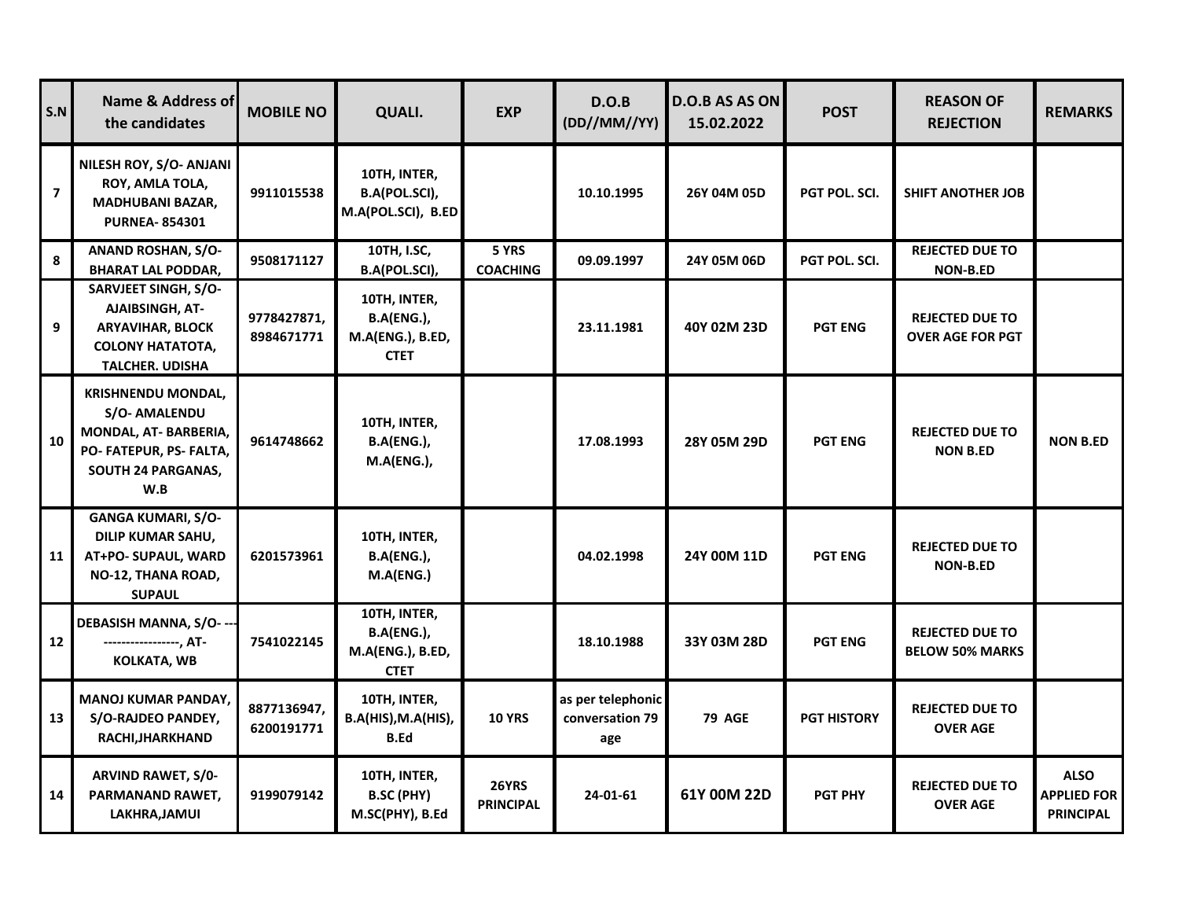| S.N                     | Name & Address of<br>the candidates                                                                                              | <b>MOBILE NO</b>          | <b>QUALI.</b>                                                        | <b>EXP</b>                | D.O.B<br>(DD//MM//YY)                       | <b>D.O.B AS AS ON</b><br>15.02.2022 | <b>POST</b>          | <b>REASON OF</b><br><b>REJECTION</b>              | <b>REMARKS</b>                                        |
|-------------------------|----------------------------------------------------------------------------------------------------------------------------------|---------------------------|----------------------------------------------------------------------|---------------------------|---------------------------------------------|-------------------------------------|----------------------|---------------------------------------------------|-------------------------------------------------------|
| $\overline{\mathbf{z}}$ | NILESH ROY, S/O- ANJANI<br>ROY, AMLA TOLA,<br><b>MADHUBANI BAZAR,</b><br><b>PURNEA-854301</b>                                    | 9911015538                | 10TH, INTER,<br>B.A(POL.SCI),<br>M.A(POL.SCI), B.ED                  |                           | 10.10.1995                                  | 26Y 04M 05D                         | <b>PGT POL. SCI.</b> | <b>SHIFT ANOTHER JOB</b>                          |                                                       |
| 8                       | <b>ANAND ROSHAN, S/O-</b><br><b>BHARAT LAL PODDAR,</b>                                                                           | 9508171127                | 10TH, I.SC,<br>B.A(POL.SCI),                                         | 5 YRS<br><b>COACHING</b>  | 09.09.1997                                  | 24Y 05M 06D                         | <b>PGT POL. SCI.</b> | <b>REJECTED DUE TO</b><br><b>NON-B.ED</b>         |                                                       |
| 9                       | SARVJEET SINGH, S/O-<br><b>AJAIBSINGH, AT-</b><br><b>ARYAVIHAR, BLOCK</b><br><b>COLONY HATATOTA,</b><br><b>TALCHER. UDISHA</b>   | 9778427871,<br>8984671771 | 10TH, INTER,<br><b>B.A(ENG.),</b><br>M.A(ENG.), B.ED,<br><b>CTET</b> |                           | 23.11.1981                                  | 40Y 02M 23D                         | <b>PGT ENG</b>       | <b>REJECTED DUE TO</b><br><b>OVER AGE FOR PGT</b> |                                                       |
| 10                      | <b>KRISHNENDU MONDAL,</b><br><b>S/O- AMALENDU</b><br>MONDAL, AT- BARBERIA,<br>PO-FATEPUR, PS-FALTA,<br>SOUTH 24 PARGANAS,<br>W.B | 9614748662                | 10TH, INTER,<br><b>B.A(ENG.),</b><br><b>M.A(ENG.),</b>               |                           | 17.08.1993                                  | 28Y 05M 29D                         | <b>PGT ENG</b>       | <b>REJECTED DUE TO</b><br><b>NON B.ED</b>         | <b>NON B.ED</b>                                       |
| 11                      | <b>GANGA KUMARI, S/O-</b><br><b>DILIP KUMAR SAHU,</b><br>AT+PO- SUPAUL, WARD<br>NO-12, THANA ROAD,<br><b>SUPAUL</b>              | 6201573961                | 10TH, INTER,<br><b>B.A(ENG.),</b><br>M.A(ENG.)                       |                           | 04.02.1998                                  | 24Y 00M 11D                         | <b>PGT ENG</b>       | <b>REJECTED DUE TO</b><br><b>NON-B.ED</b>         |                                                       |
| 12                      | DEBASISH MANNA, S/O- --<br>-----------------, AT-<br><b>KOLKATA, WB</b>                                                          | 7541022145                | 10TH, INTER,<br><b>B.A(ENG.),</b><br>M.A(ENG.), B.ED,<br><b>CTET</b> |                           | 18.10.1988                                  | 33Y 03M 28D                         | <b>PGT ENG</b>       | <b>REJECTED DUE TO</b><br><b>BELOW 50% MARKS</b>  |                                                       |
| 13                      | <b>MANOJ KUMAR PANDAY,</b><br>S/O-RAJDEO PANDEY,<br>RACHI, JHARKHAND                                                             | 8877136947,<br>6200191771 | 10TH, INTER,<br>B.A(HIS), M.A(HIS),<br><b>B.Ed</b>                   | <b>10 YRS</b>             | as per telephonic<br>conversation 79<br>age | <b>79 AGE</b>                       | <b>PGT HISTORY</b>   | <b>REJECTED DUE TO</b><br><b>OVER AGE</b>         |                                                       |
| 14                      | <b>ARVIND RAWET, S/0-</b><br>PARMANAND RAWET,<br>LAKHRA,JAMUI                                                                    | 9199079142                | 10TH, INTER,<br><b>B.SC (PHY)</b><br>M.SC(PHY), B.Ed                 | 26YRS<br><b>PRINCIPAL</b> | 24-01-61                                    | 61Y 00M 22D                         | <b>PGT PHY</b>       | <b>REJECTED DUE TO</b><br><b>OVER AGE</b>         | <b>ALSO</b><br><b>APPLIED FOR</b><br><b>PRINCIPAL</b> |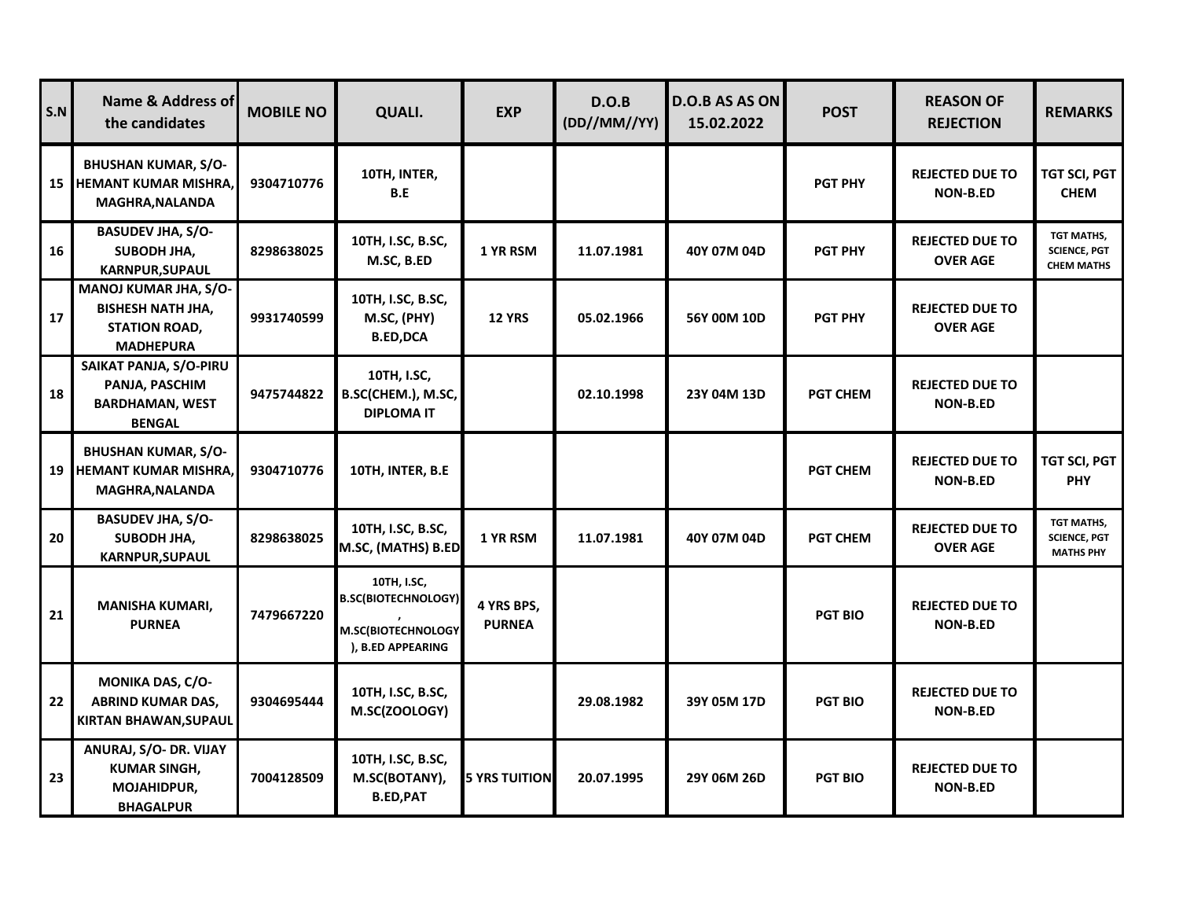| S.N | Name & Address of<br>the candidates                                                                  | <b>MOBILE NO</b> | <b>QUALI.</b>                                                                        | <b>EXP</b>                  | D.O.B<br>(DD//MM//YY) | <b>D.O.B AS AS ON</b><br>15.02.2022 | <b>POST</b>     | <b>REASON OF</b><br><b>REJECTION</b>      | <b>REMARKS</b>                                         |
|-----|------------------------------------------------------------------------------------------------------|------------------|--------------------------------------------------------------------------------------|-----------------------------|-----------------------|-------------------------------------|-----------------|-------------------------------------------|--------------------------------------------------------|
| 15  | <b>BHUSHAN KUMAR, S/O-</b><br>HEMANT KUMAR MISHRA,<br><b>MAGHRA, NALANDA</b>                         | 9304710776       | 10TH, INTER,<br>B.E                                                                  |                             |                       |                                     | <b>PGT PHY</b>  | <b>REJECTED DUE TO</b><br><b>NON-B.ED</b> | TGT SCI, PGT<br><b>CHEM</b>                            |
| 16  | <b>BASUDEV JHA, S/O-</b><br>SUBODH JHA,<br><b>KARNPUR, SUPAUL</b>                                    | 8298638025       | 10TH, I.SC, B.SC,<br>M.SC, B.ED                                                      | 1 YR RSM                    | 11.07.1981            | 40Y 07M 04D                         | <b>PGT PHY</b>  | <b>REJECTED DUE TO</b><br><b>OVER AGE</b> | TGT MATHS,<br><b>SCIENCE, PGT</b><br><b>CHEM MATHS</b> |
| 17  | <b>MANOJ KUMAR JHA, S/O-</b><br><b>BISHESH NATH JHA,</b><br><b>STATION ROAD,</b><br><b>MADHEPURA</b> | 9931740599       | 10TH, I.SC, B.SC,<br>M.SC, (PHY)<br><b>B.ED,DCA</b>                                  | <b>12 YRS</b>               | 05.02.1966            | 56Y 00M 10D                         | <b>PGT PHY</b>  | <b>REJECTED DUE TO</b><br><b>OVER AGE</b> |                                                        |
| 18  | SAIKAT PANJA, S/O-PIRU<br>PANJA, PASCHIM<br><b>BARDHAMAN, WEST</b><br><b>BENGAL</b>                  | 9475744822       | 10TH, I.SC,<br>B.SC(CHEM.), M.SC,<br><b>DIPLOMA IT</b>                               |                             | 02.10.1998            | 23Y 04M 13D                         | <b>PGT CHEM</b> | <b>REJECTED DUE TO</b><br><b>NON-B.ED</b> |                                                        |
| 19  | <b>BHUSHAN KUMAR, S/O-</b><br><b>HEMANT KUMAR MISHRA,</b><br><b>MAGHRA, NALANDA</b>                  | 9304710776       | 10TH, INTER, B.E                                                                     |                             |                       |                                     | <b>PGT CHEM</b> | <b>REJECTED DUE TO</b><br><b>NON-B.ED</b> | TGT SCI, PGT<br><b>PHY</b>                             |
| 20  | <b>BASUDEV JHA, S/O-</b><br>SUBODH JHA,<br><b>KARNPUR, SUPAUL</b>                                    | 8298638025       | 10TH, I.SC, B.SC,<br>M.SC, (MATHS) B.ED                                              | 1 YR RSM                    | 11.07.1981            | 40Y 07M 04D                         | <b>PGT CHEM</b> | <b>REJECTED DUE TO</b><br><b>OVER AGE</b> | TGT MATHS,<br><b>SCIENCE, PGT</b><br><b>MATHS PHY</b>  |
| 21  | <b>MANISHA KUMARI,</b><br><b>PURNEA</b>                                                              | 7479667220       | 10TH, I.SC,<br><b>B.SC(BIOTECHNOLOGY)</b><br>M.SC(BIOTECHNOLOGY<br>), B.ED APPEARING | 4 YRS BPS,<br><b>PURNEA</b> |                       |                                     | <b>PGT BIO</b>  | <b>REJECTED DUE TO</b><br><b>NON-B.ED</b> |                                                        |
| 22  | <b>MONIKA DAS, C/O-</b><br><b>ABRIND KUMAR DAS,</b><br>KIRTAN BHAWAN, SUPAUL                         | 9304695444       | 10TH, I.SC, B.SC,<br>M.SC(ZOOLOGY)                                                   |                             | 29.08.1982            | 39Y 05M 17D                         | <b>PGT BIO</b>  | <b>REJECTED DUE TO</b><br><b>NON-B.ED</b> |                                                        |
| 23  | ANURAJ, S/O- DR. VIJAY<br><b>KUMAR SINGH,</b><br><b>MOJAHIDPUR,</b><br><b>BHAGALPUR</b>              | 7004128509       | 10TH, I.SC, B.SC,<br>M.SC(BOTANY),<br><b>B.ED,PAT</b>                                | <b>5 YRS TUITION</b>        | 20.07.1995            | 29Y 06M 26D                         | <b>PGT BIO</b>  | <b>REJECTED DUE TO</b><br><b>NON-B.ED</b> |                                                        |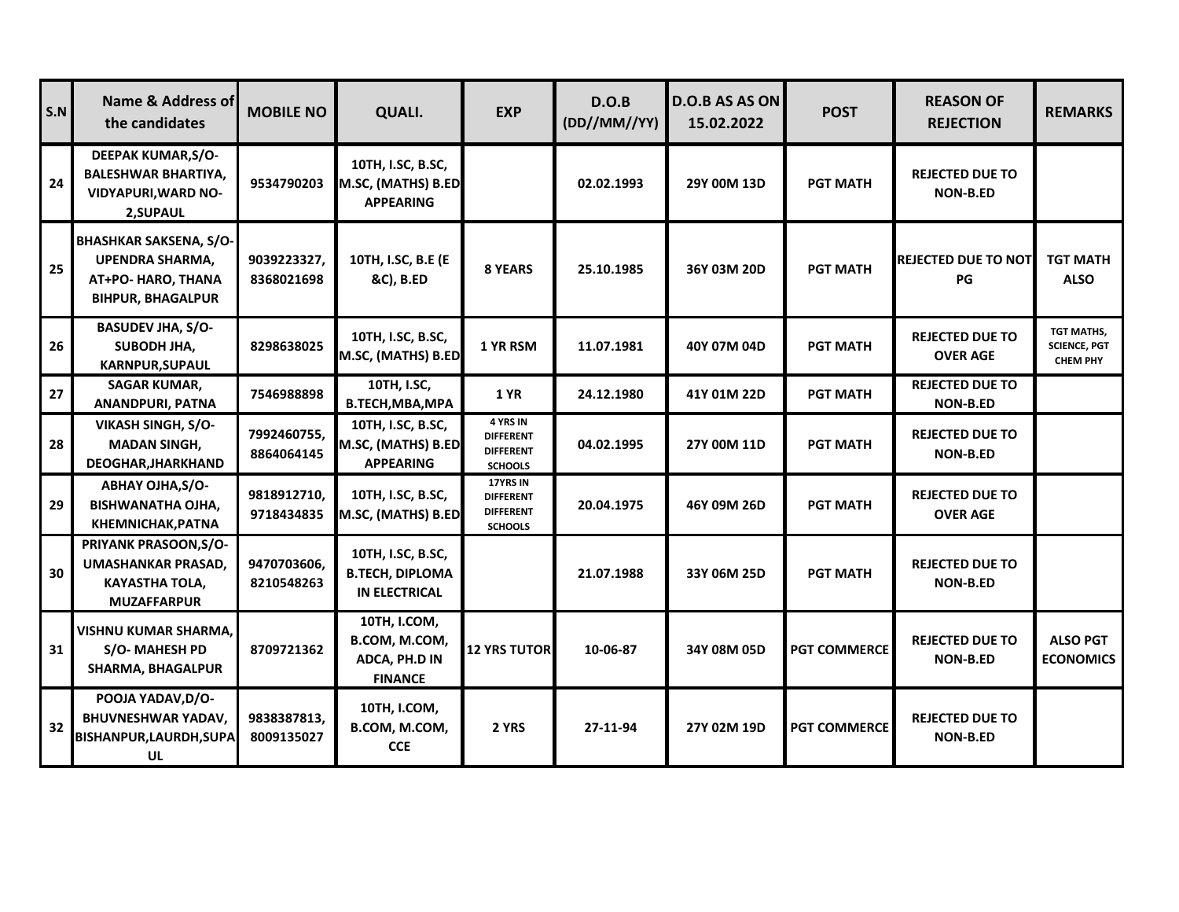| S.N | Name & Address of<br>the candidates                                                                | <b>MOBILE NO</b>          | <b>QUALI.</b>                                                       | <b>EXP</b>                                                         | D.O.B<br>(DD//MM//YY) | D.O.B AS AS ON<br>15.02.2022 | <b>POST</b>         | <b>REASON OF</b><br><b>REJECTION</b>      | <b>REMARKS</b>                                       |
|-----|----------------------------------------------------------------------------------------------------|---------------------------|---------------------------------------------------------------------|--------------------------------------------------------------------|-----------------------|------------------------------|---------------------|-------------------------------------------|------------------------------------------------------|
| 24  | <b>DEEPAK KUMAR, S/O-</b><br><b>BALESHWAR BHARTIYA,</b><br><b>VIDYAPURI, WARD NO-</b><br>2, SUPAUL | 9534790203                | 10TH, I.SC, B.SC,<br>M.SC, (MATHS) B.ED<br><b>APPEARING</b>         |                                                                    | 02.02.1993            | 29Y 00M 13D                  | <b>PGT MATH</b>     | <b>REJECTED DUE TO</b><br><b>NON-B.ED</b> |                                                      |
| 25  | <b>BHASHKAR SAKSENA, S/O-</b><br>UPENDRA SHARMA,<br>AT+PO- HARO, THANA<br><b>BIHPUR, BHAGALPUR</b> | 9039223327,<br>8368021698 | 10TH, I.SC, B.E (E<br>&C), B.ED                                     | 8 YEARS                                                            | 25.10.1985            | 36Y 03M 20D                  | <b>PGT MATH</b>     | <b>REJECTED DUE TO NOT</b><br>PG          | TGT MATH<br><b>ALSO</b>                              |
| 26  | <b>BASUDEV JHA, S/O-</b><br>SUBODH JHA,<br><b>KARNPUR, SUPAUL</b>                                  | 8298638025                | 10TH, I.SC, B.SC,<br>M.SC, (MATHS) B.ED                             | 1 YR RSM                                                           | 11.07.1981            | 40Y 07M 04D                  | <b>PGT MATH</b>     | <b>REJECTED DUE TO</b><br><b>OVER AGE</b> | TGT MATHS,<br><b>SCIENCE, PGT</b><br><b>CHEM PHY</b> |
| 27  | <b>SAGAR KUMAR,</b><br><b>ANANDPURI, PATNA</b>                                                     | 7546988898                | 10TH, I.SC,<br>B.TECH, MBA, MPA                                     | <b>1 YR</b>                                                        | 24.12.1980            | 41Y 01M 22D                  | <b>PGT MATH</b>     | <b>REJECTED DUE TO</b><br><b>NON-B.ED</b> |                                                      |
| 28  | <b>VIKASH SINGH, S/O-</b><br><b>MADAN SINGH,</b><br>DEOGHAR, JHARKHAND                             | 7992460755,<br>8864064145 | 10TH, I.SC, B.SC,<br>M.SC, (MATHS) B.ED<br><b>APPEARING</b>         | 4 YRS IN<br><b>DIFFERENT</b><br><b>DIFFERENT</b><br><b>SCHOOLS</b> | 04.02.1995            | 27Y 00M 11D                  | <b>PGT MATH</b>     | <b>REJECTED DUE TO</b><br><b>NON-B.ED</b> |                                                      |
| 29  | <b>ABHAY OJHA, S/O-</b><br><b>BISHWANATHA OJHA,</b><br><b>KHEMNICHAK, PATNA</b>                    | 9818912710,<br>9718434835 | 10TH, I.SC, B.SC,<br>M.SC, (MATHS) B.ED                             | 17YRS IN<br><b>DIFFERENT</b><br><b>DIFFERENT</b><br><b>SCHOOLS</b> | 20.04.1975            | 46Y 09M 26D                  | <b>PGT MATH</b>     | <b>REJECTED DUE TO</b><br><b>OVER AGE</b> |                                                      |
| 30  | PRIYANK PRASOON, S/O-<br>UMASHANKAR PRASAD,<br><b>KAYASTHA TOLA,</b><br><b>MUZAFFARPUR</b>         | 9470703606.<br>8210548263 | 10TH, I.SC, B.SC,<br><b>B.TECH, DIPLOMA</b><br><b>IN ELECTRICAL</b> |                                                                    | 21.07.1988            | 33Y 06M 25D                  | <b>PGT MATH</b>     | <b>REJECTED DUE TO</b><br><b>NON-B.ED</b> |                                                      |
| 31  | <b>VISHNU KUMAR SHARMA,</b><br>S/O-MAHESH PD<br><b>SHARMA, BHAGALPUR</b>                           | 8709721362                | 10TH, I.COM,<br>B.COM, M.COM,<br>ADCA, PH.D IN<br><b>FINANCE</b>    | <b>12 YRS TUTOR</b>                                                | 10-06-87              | 34Y 08M 05D                  | <b>PGT COMMERCE</b> | <b>REJECTED DUE TO</b><br><b>NON-B.ED</b> | <b>ALSO PGT</b><br><b>ECONOMICS</b>                  |
| 32  | POOJA YADAV, D/O-<br><b>BHUVNESHWAR YADAV,</b><br>BISHANPUR, LAURDH, SUPA<br>UL                    | 9838387813,<br>8009135027 | 10TH, I.COM,<br>B.COM, M.COM,<br><b>CCE</b>                         | 2 YRS                                                              | 27-11-94              | 27Y 02M 19D                  | <b>PGT COMMERCE</b> | <b>REJECTED DUE TO</b><br><b>NON-B.ED</b> |                                                      |